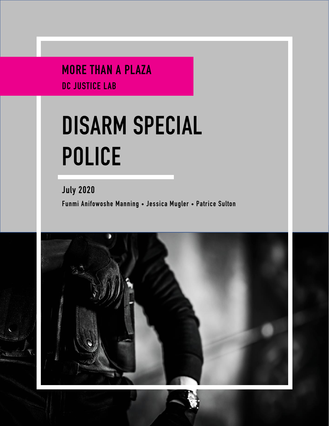MORE THAN A PLAZA DC JUSTICE LAB

# **DISARM SPECIAL POLICE**

July 2020 Funmi Anifowoshe Manning • Jessica Mugler • Patrice Sulton

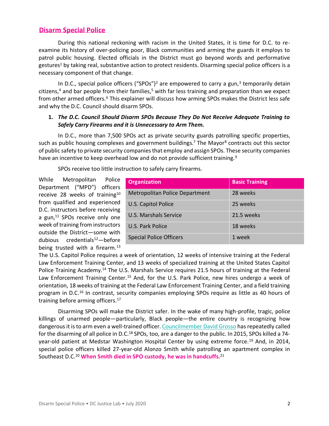# **Disarm Special Police**

During this national reckoning with racism in the United States, it is time for D.C. to reexamine its history of over-policing poor, Black communities and arming the guards it employs to patrol public housing. Elected officials in the District must go beyond words and performative gestures<sup>1</sup> by taking real, substantive action to protect residents. Disarming special police officers is a necessary component of that change.

In D.C., special police officers ("SPOs")<sup>2</sup> are empowered to carry a gun,<sup>3</sup> temporarily detain citizens, $4$  and bar people from their families, $5$  with far less training and preparation than we expect from other armed officers.<sup>6</sup> This explainer will discuss how arming SPOs makes the District less safe and why the D.C. Council should disarm SPOs.

## <span id="page-1-0"></span>**1.** *The D.C. Council Should Disarm SPOs Because They Do Not Receive Adequate Training to Safely Carry Firearms and it is Unnecessary to Arm Them.*

In D.C., more than 7,500 SPOs act as private security guards patrolling specific properties, such as public housing complexes and government buildings.<sup>7</sup> The Mayor<sup>8</sup> contracts out this sector of public safety to private security companies that employ and assign SPOs. These security companies have an incentive to keep overhead low and do not provide sufficient training.<sup>9</sup>

SPOs receive too little instruction to safely carry firearms.

While Metropolitan Police Department ("MPD") officers receive 28 weeks of training<sup>10</sup> from qualified and experienced D.C. instructors before receiving a gun, $11$  SPOs receive only one week of training from instructors outside the District—some with dubious credentials<sup>12</sup>—before being trusted with a firearm. $^{13}$ 

<span id="page-1-1"></span>

| <b>Organization</b>                   | <b>Basic Training</b> |
|---------------------------------------|-----------------------|
| <b>Metropolitan Police Department</b> | 28 weeks              |
| U.S. Capitol Police                   | 25 weeks              |
| U.S. Marshals Service                 | 21.5 weeks            |
| U.S. Park Police                      | 18 weeks              |
| <b>Special Police Officers</b>        | 1 week                |

The U.S. Capitol Police requires a week of orientation, 12 weeks of intensive training at the Federal Law Enforcement Training Center, and 13 weeks of specialized training at the United States Capitol Police Training Academy.<sup>14</sup> The U.S. Marshals Service requires 21.5 hours of training at the Federal Law Enforcement Training Center.<sup>15</sup> And, for the U.S. Park Police, new hires undergo a week of orientation, 18 weeks of training at the Federal Law Enforcement Training Center, and a field training program in D.C.<sup>16</sup> In contrast, security companies employing SPOs require as little as 40 hours of training before arming officers.<sup>17</sup>

Disarming SPOs will make the District safer. In the wake of many high-profile, tragic, police killings of unarmed people—particularly, Black people—the entire country is recognizing how dangerous it is to arm even a well-trained officer[. Councilmember David Grosso](https://twitter.com/cmdgrosso) has repeatedly called for the disarming of all police in D.C.<sup>18</sup> SPOs, too, are a danger to the public. In 2015, SPOs killed a 74year-old patient at Medstar Washington Hospital Center by using extreme force.<sup>19</sup> And, in 2014, special police officers killed 27-year-old Alonzo Smith while patrolling an apartment complex in Southeast D.C.<sup>20</sup> **When Smith died in SPO custody, he was in handcuffs.**<sup>21</sup>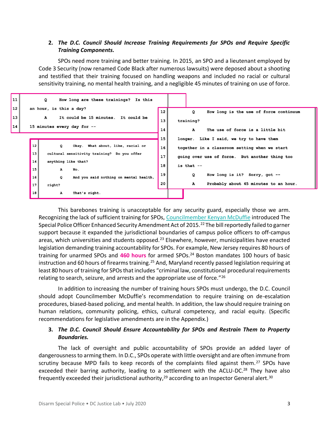# **2.** *The D.C. Council Should Increase Training Requirements for SPOs and Require Specific Training Components.*

SPOs need more training and better training. In 2015, an SPO and a lieutenant employed by Code 3 Security (now renamed Code Black after numerous lawsuits) were deposed about a shooting and testified that their training focused on handling weapons and included no racial or cultural sensitivity training, no mental health training, and a negligible 45 minutes of training on use of force.



This barebones training is unacceptable for any security guard, especially those we arm. Recognizing the lack of sufficient training for SPOs, [Councilmember Kenyan McDuffie](https://twitter.com/kenyanmcduffie?lang=en) introduced The Special Police Officer Enhanced Security Amendment Act of 2015.<sup>22</sup> The bill reportedly failed to garner support because it expanded the jurisdictional boundaries of campus police officers to off-campus areas, which universities and students opposed. $^{23}$  Elsewhere, however, municipalities have enacted legislation demanding training accountability for SPOs. For example, New Jersey requires 80 hours of training for unarmed SPOs and **460 hours** for armed SPOs.<sup>24</sup> Boston mandates 100 hours of basic instruction and 60 hours of firearms training.<sup>25</sup> And, Maryland recently passed legislation requiring at least 80 hours of training for SPOs that includes "criminal law, constitutional procedural requirements relating to search, seizure, and arrests and the appropriate use of force."<sup>26</sup>

In addition to increasing the number of training hours SPOs must undergo, the D.C. Council should adopt Councilmember McDuffie's recommendation to require training on de-escalation procedures, biased-based policing, and mental health. In addition, the law should require training on human relations, community policing, ethics, cultural competency, and racial equity. (Specific recommendations for legislative amendments are in the Appendix.)

# **3.** *The D.C. Council Should Ensure Accountability for SPOs and Restrain Them to Property Boundaries.*

The lack of oversight and public accountability of SPOs provide an added layer of dangerousness to arming them. In D.C., SPOs operate with little oversight and are often immune from scrutiny because MPD fails to keep records of the complaints filed against them.<sup>27</sup> SPOs have exceeded their barring authority, leading to a settlement with the ACLU-DC.<sup>28</sup> They have also frequently exceeded their jurisdictional authority,<sup>29</sup> according to an Inspector General alert.<sup>30</sup>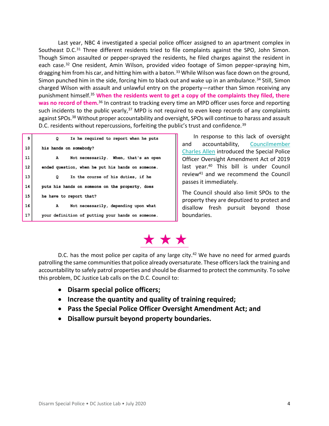Last year, NBC 4 investigated a special police officer assigned to an apartment complex in Southeast D.C.<sup>31</sup> Three different residents tried to file complaints against the SPO, John Simon. Though Simon assaulted or pepper-sprayed the residents, he filed charges against the resident in each case.<sup>32</sup> One resident, Amin Wilson, provided video footage of Simon pepper-spraying him, dragging him from his car, and hitting him with a baton.<sup>33</sup> While Wilson was face down on the ground, Simon punched him in the side, forcing him to black out and wake up in an ambulance.<sup>34</sup> Still, Simon charged Wilson with assault and unlawful entry on the property—rather than Simon receiving any punishment himself.<sup>35</sup> **When the residents went to get a copy of the complaints they filed, there was no record of them.**<sup>36</sup> In contrast to tracking every time an MPD officer uses force and reporting such incidents to the public yearly, $37$  MPD is not required to even keep records of any complaints against SPOs.<sup>38</sup> Without proper accountability and oversight, SPOs will continue to harass and assault D.C. residents without repercussions, forfeiting the public's trust and confidence.<sup>39</sup>

<span id="page-3-0"></span>

| 9  | Is he required to report when he puts<br>Q        |
|----|---------------------------------------------------|
| 10 | his hands on somebody?                            |
| 11 | Not necessarily. When, that's an open<br>A        |
| 12 | ended question, when he put his hands on someone. |
| 13 | In the course of his duties, if he<br>Q           |
| 14 | puts his hands on someone on the property, does   |
| 15 | he have to report that?                           |
| 16 | Not necessarily, depending upon what<br>A         |
| 17 | your definition of putting your hands on someone. |

In response to this lack of oversight and accountability, [Councilmember](https://twitter.com/charlesallen?lang=en)  [Charles Allen](https://twitter.com/charlesallen?lang=en) introduced the Special Police Officer Oversight Amendment Act of 2019 last year.<sup>40</sup> This bill is under Council review<sup>41</sup> and we recommend the Council passes it immediately.

The Council should also limit SPOs to the property they are deputized to protect and disallow fresh pursuit beyond those boundaries.

# \* \* \*

D.C. has the most police per capita of any large city.<sup>42</sup> We have no need for armed guards patrolling the same communities that police already oversaturate. These officers lack the training and accountability to safely patrol properties and should be disarmed to protect the community. To solve this problem, DC Justice Lab calls on the D.C. Council to:

- **Disarm special police officers;**
- **Increase the quantity and quality of training required;**
- **Pass the Special Police Officer Oversight Amendment Act; and**
- **Disallow pursuit beyond property boundaries.**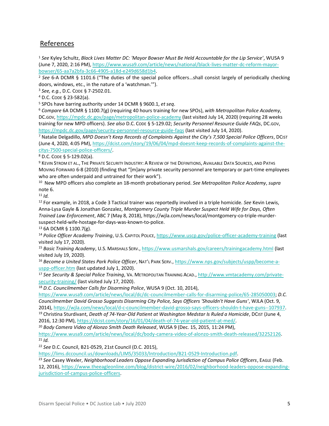# References

<sup>1</sup> *See* Kyley Schultz, *Black Lives Matter DC: 'Mayor Bowser Must Be Held Accountable for the Lip Service'*, WUSA 9 (June 7, 2020, 2:16 PM)[, https://www.wusa9.com/article/news/national/black-lives-matter-dc-reform-mayor](https://www.wusa9.com/article/news/national/black-lives-matter-dc-reform-mayor-bowser/65-aa7a2bfa-3c66-4905-a18d-e249d658d1b4)[bowser/65-aa7a2bfa-3c66-4905-a18d-e249d658d1b4.](https://www.wusa9.com/article/news/national/black-lives-matter-dc-reform-mayor-bowser/65-aa7a2bfa-3c66-4905-a18d-e249d658d1b4)

<sup>2</sup> *See* 6-A DCMR § 1101.6 ("The duties of the special police officers…shall consist largely of periodically checking doors, windows, etc., in the nature of a 'watchman.'").

<sup>3</sup> *See, e.g.*, D.C. CODE § 7-2502.01.

<sup>4</sup> D.C. CODE § 23-582(a).

<sup>5</sup> SPOs have barring authority under 14 DCMR § 9600.1, *et seq*.

<sup>6</sup> *Compare* 6A DCMR § 1100.7(g) (requiring 40 hours training for new SPOs), *with Metropolitan Police Academy*, DC.GOV[, https://mpdc.dc.gov/page/metropolitan-police-academy](https://mpdc.dc.gov/page/metropolitan-police-academy) (last visited July 14, 2020) (requiring 28 weeks training for new MPD officers). *See also* D.C. CODE § 5-129.02; *Security Personnel Resource Guide FAQs*, DC.GOV, <https://mpdc.dc.gov/page/security-personnel-resource-guide-faqs> (last visited July 14, 2020).

<sup>7</sup> Natalie Delgadillo, *MPD Doesn't Keep Records of Complaints Against the City's 7,500 Special Police Officers*, DCIST (June 4, 2020, 4:05 PM)[, https://dcist.com/story/19/06/04/mpd-doesnt-keep-records-of-complaints-against-the](https://dcist.com/story/19/06/04/mpd-doesnt-keep-records-of-complaints-against-the-citys-7500-special-police-officers/)[citys-7500-special-police-officers/.](https://dcist.com/story/19/06/04/mpd-doesnt-keep-records-of-complaints-against-the-citys-7500-special-police-officers/)

<sup>8</sup> D.C. CODE § 5-129.02(a).

9 KEVIN STROM ET AL., THE PRIVATE SECURITY INDUSTRY: A REVIEW OF THE DEFINITIONS, AVAILABLE DATA SOURCES, AND PATHS MOVING FORWARD 6-8 (2010) (finding that "[m]any private security personnel are temporary or part-time employees who are often underpaid and untrained for their work").

10 New MPD officers also complete an 18-month probationary period. *See Metropolitan Police Academy*, *supra* note [6.](#page-1-0)

<sup>11</sup> *Id.*

<sup>12</sup> For example, in 2018, a Code 3 Tactical trainer was reportedly involved in a triple homicide. *See* Kevin Lewis, Anna-Lysa Gayle & Jonathan Gonzalez, *Montgomery County Triple Murder Suspect Held Wife for Days, Often Trained Law Enforcement*, ABC 7 (May 8, 2018), [https://wjla.com/news/local/montgomery-co-triple-murder](https://wjla.com/news/local/montgomery-co-triple-murder-suspect-held-wife-hostage-for-days-was-known-to-police)[suspect-held-wife-hostage-for-days-was-known-to-police.](https://wjla.com/news/local/montgomery-co-triple-murder-suspect-held-wife-hostage-for-days-was-known-to-police) 

<sup>13</sup> 6A DCMR § 1100.7(g).

<sup>14</sup> *Police Officer Academy Training*, U.S. CAPITOL POLICE[, https://www.uscp.gov/police-officer-academy-training](https://www.uscp.gov/police-officer-academy-training) (last visited July 17, 2020).

<sup>15</sup> *Basic Training Academy*, U.S. MARSHALS SERV.,<https://www.usmarshals.gov/careers/trainingacademy.html> (last visited July 19, 2020).

<sup>16</sup> *Become a United States Park Police Officer*, NAT'L PARK SERV.[, https://www.nps.gov/subjects/uspp/become-a](https://www.nps.gov/subjects/uspp/become-a-uspp-officer.htm)[uspp-officer.htm](https://www.nps.gov/subjects/uspp/become-a-uspp-officer.htm) (last updated July 1, 2020).

<sup>17</sup> *See Security & Special Police Training*, VA. METROPOLITAN TRAINING ACAD.[, http://www.vmtacademy.com/private](http://www.vmtacademy.com/private-security-training/)[security-training/](http://www.vmtacademy.com/private-security-training/) (last visited July 17, 2020).

<sup>18</sup> *D.C. Councilmember Calls for Disarming Police*, WUSA 9 (Oct. 10, 2014),

[https://www.wusa9.com/article/news/local/dc/dc-councilmember-calls-for-disarming-police/65-285050003;](https://www.wusa9.com/article/news/local/dc/dc-councilmember-calls-for-disarming-police/65-285050003) *D.C. Councilmember David Grosso Suggests Disarming City Police, Says Officers 'Shouldn't Have Guns'*, WJLA (Oct. 9, 2014), [https://wjla.com/news/local/d-c-councilmember-david-grosso-says-officers-shouldn-t-have-guns--107937.](https://wjla.com/news/local/d-c-councilmember-david-grosso-says-officers-shouldn-t-have-guns--107937)

<sup>19</sup> Christina Sturdivant, *Death of 74-Year-Old Patient at Washington Medstar Is Ruled a Homicide*, DCIST (June 4, 2016, 12:30 PM)[, https://dcist.com/story/16/01/04/death-of-74-year-old-patient-at-med/.](https://dcist.com/story/16/01/04/death-of-74-year-old-patient-at-med/)

<sup>20</sup> *Body Camera Video of Alonzo Smith Death Released*, WUSA 9 (Dec. 15, 2015, 11:24 PM),

[https://www.wusa9.com/article/news/local/dc/body-camera-video-of-alonzo-smith-death-released/32252126.](https://www.wusa9.com/article/news/local/dc/body-camera-video-of-alonzo-smith-death-released/32252126) <sup>21</sup> *Id.*

<sup>22</sup> *See* D.C. Council, B21-0529, 21st Council (D.C. 2015),

[https://lims.dccouncil.us/downloads/LIMS/35033/Introduction/B21-0529-Introduction.pdf.](https://lims.dccouncil.us/downloads/LIMS/35033/Introduction/B21-0529-Introduction.pdf)

<sup>23</sup> *See* Casey Wexler, *Neighborhood Leaders Oppose Expanding Jurisdiction of Campus Police Officers*, EAGLE (Feb. 12, 2016), [https://www.theeagleonline.com/blog/district-wire/2016/02/neighborhood-leaders-oppose-expanding](https://www.theeagleonline.com/blog/district-wire/2016/02/neighborhood-leaders-oppose-expanding-jurisdiction-of-campus-police-officers)[jurisdiction-of-campus-police-officers.](https://www.theeagleonline.com/blog/district-wire/2016/02/neighborhood-leaders-oppose-expanding-jurisdiction-of-campus-police-officers)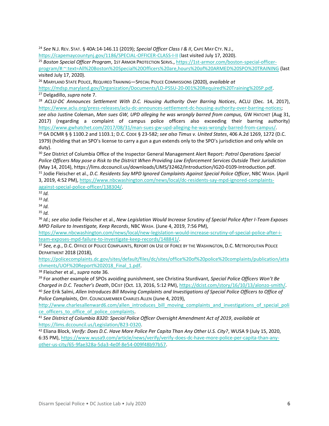<sup>24</sup> *See* N.J. REV. STAT. § 40A:14-146.11 (2019); *Special Officer Class I & II*, CAPE MAY CTY. N.J.,

<https://capemaycountynj.gov/1186/SPECIAL-OFFICER-CLASS-I-II> (last visited July 17, 2020).

<sup>25</sup> *Boston Special Officer Program*, 1ST ARMOR PROTECTION SERVS.[, https://1st-armor.com/boston-special-officer](https://1st-armor.com/boston-special-officer-program/#:~:text=All%20Boston%20Special%20Officers%20are,hours%20of%20ARMED%20SPO%20TRAINING)[program/#:~:text=All%20Boston%20Special%20Officers%20are,hours%20of%20ARMED%20SPO%20TRAINING](https://1st-armor.com/boston-special-officer-program/#:~:text=All%20Boston%20Special%20Officers%20are,hours%20of%20ARMED%20SPO%20TRAINING) (last visited July 17, 2020).

<sup>26</sup> MARYLAND STATE POLICE, REQUIRED TRAINING—SPECIAL POLICE COMMISSIONS (2020), *available at*

[https://mdsp.maryland.gov/Organization/Documents/LD-PSSU-20-001%20Required%20Training%20SP.pdf.](https://mdsp.maryland.gov/Organization/Documents/LD-PSSU-20-001%20Required%20Training%20SP.pdf) <sup>27</sup> Delgadillo, *supra* note [7.](#page-1-1)

<sup>28</sup> ACLU-DC Announces Settlement With D.C. Housing Authority Over Barring Notices, ACLU (Dec. 14, 2017), [https://www.aclu.org/press-releases/aclu-dc-announces-settlement-dc-housing-authority-over-barring-notices;](https://www.aclu.org/press-releases/aclu-dc-announces-settlement-dc-housing-authority-over-barring-notices) *see also* Justine Coleman, *Man sues GW, UPD alleging he was wrongly barred from campus,* GW HATCHET (Aug 31,

2017) (regarding a complaint of campus police officers also exceeding their barring authority) [https://www.gwhatchet.com/2017/08/31/man-sues-gw-upd-alleging-he-was-wrongly-barred-from-campus/.](https://www.gwhatchet.com/2017/08/31/man-sues-gw-upd-alleging-he-was-wrongly-barred-from-campus/) <sup>29</sup> 6A DCMR § § 1100.2 and 1103.1; D.C. CODE § 23-582; *see also Timus v. United States*, 406 A.2d 1269, 1272 (D.C. 1979) (holding that an SPO's license to carry a gun a gun extends only to the SPO's jurisdiction and only while on duty).

<sup>30</sup> *See* District of Columbia Office of the Inspector General Management Alert Report: *Patrol Operations Special Police Officers May pose a Risk to the District When Providing Law Enforcement Services Outside Their Jurisdiction* (May 14, 2014), [https://lims.dccouncil.us/downloads/LIMS/32462/Introduction/IG20-0109-Introduction.pdf.](https://lims.dccouncil.us/downloads/LIMS/32462/Introduction/IG20-0109-Introduction.pdf) <sup>31</sup> Jodie Fleischer et al., *D.C. Residents Say MPD Ignored Complaints Against Special Police Officer*, NBC WASH. (April 3, 2019, 4:52 PM)[, https://www.nbcwashington.com/news/local/dc-residents-say-mpd-ignored-complaints](https://www.nbcwashington.com/news/local/dc-residents-say-mpd-ignored-complaints-against-special-police-officer/138304/)[against-special-police-officer/138304/.](https://www.nbcwashington.com/news/local/dc-residents-say-mpd-ignored-complaints-against-special-police-officer/138304/)

<sup>32</sup> *Id.*

<sup>33</sup> *Id.*

<sup>34</sup> *Id.*

<sup>35</sup> *Id.*

<sup>36</sup> *Id.*; *see also* Jodie Fleischer et al., *New Legislation Would Increase Scrutiny of Special Police After I-Team Exposes MPD Failure to Investigate, Keep Records*, NBC WASH. (June 4, 2019, 7:56 PM),

[https://www.nbcwashington.com/news/local/new-legislation-would-increase-scrutiny-of-special-police-after-i](https://www.nbcwashington.com/news/local/new-legislation-would-increase-scrutiny-of-special-police-after-i-team-exposes-mpd-failure-to-investigate-keep-records/148841/)[team-exposes-mpd-failure-to-investigate-keep-records/148841/.](https://www.nbcwashington.com/news/local/new-legislation-would-increase-scrutiny-of-special-police-after-i-team-exposes-mpd-failure-to-investigate-keep-records/148841/) 

<sup>37</sup> See, e.g., D.C. OFFICE OF POLICE COMPLAINTS, REPORT ON USE OF FORCE BY THE WASHINGTON, D.C. METROPOLITAN POLICE DEPARTMENT 2018 (2018),

[https://policecomplaints.dc.gov/sites/default/files/dc/sites/office%20of%20police%20complaints/publication/atta](https://policecomplaints.dc.gov/sites/default/files/dc/sites/office%20of%20police%20complaints/publication/attachments/UOF%20Report%202018_Final_1.pdf) [chments/UOF%20Report%202018\\_Final\\_1.pdf.](https://policecomplaints.dc.gov/sites/default/files/dc/sites/office%20of%20police%20complaints/publication/attachments/UOF%20Report%202018_Final_1.pdf) 

<sup>38</sup> Fleischer et al., *supra* not[e 36.](#page-3-0)

<sup>39</sup> For another example of SPOs avoiding punishment, see Christina Sturdivant, *Special Police Officers Won't Be Charged in D.C. Teacher's Death*, DCIST (Oct. 13, 2016, 5:12 PM), [https://dcist.com/story/16/10/13/alonzo-smith/.](https://dcist.com/story/16/10/13/alonzo-smith/) <sup>40</sup> *See* Erik Salmi, *Allen Introduces Bill Moving Complaints and Investigations of Special Police Officers to Office of Police Complaints*, OFF. COUNCILMEMBER CHARLES ALLEN (June 4, 2019),

[http://www.charlesallenward6.com/allen\\_introduces\\_bill\\_moving\\_complaints\\_and\\_investigations\\_of\\_special\\_poli](http://www.charlesallenward6.com/allen_introduces_bill_moving_complaints_and_investigations_of_special_police_officers_to_office_of_police_complaints) [ce\\_officers\\_to\\_office\\_of\\_police\\_complaints.](http://www.charlesallenward6.com/allen_introduces_bill_moving_complaints_and_investigations_of_special_police_officers_to_office_of_police_complaints)

<sup>41</sup> *See District of Columbia B320: Special Police Officer Oversight Amendment Act of 2019*, *available at* [https://lims.dccouncil.us/Legislation/B23-0320.](https://lims.dccouncil.us/Legislation/B23-0320)

<sup>42</sup> Eliana Block, *Verify: Does D.C. Have More Police Per Capita Than Any Other U.S. City?*, WUSA 9 (July 15, 2020, 6:35 PM)[, https://www.wusa9.com/article/news/verify/verify-does-dc-have-more-police-per-capita-than-any](https://www.wusa9.com/article/news/verify/verify-does-dc-have-more-police-per-capita-than-any-other-us-city/65-9fae328a-5da3-4e0f-8e54-009f48b97b57)[other-us-city/65-9fae328a-5da3-4e0f-8e54-009f48b97b57.](https://www.wusa9.com/article/news/verify/verify-does-dc-have-more-police-per-capita-than-any-other-us-city/65-9fae328a-5da3-4e0f-8e54-009f48b97b57)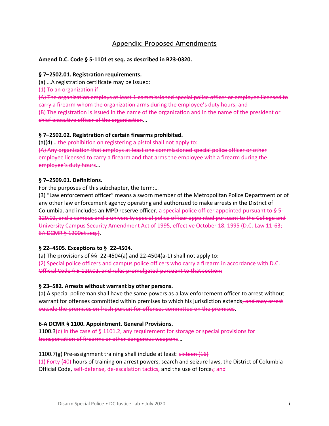# Appendix: Proposed Amendments

#### **Amend D.C. Code § 5-1101 et seq. as described in B23-0320.**

#### **§ 7–2502.01. Registration requirements.**

(a) …A registration certificate may be issued:

(1) To an organization if:

(A) The organization employs at least 1 commissioned special police officer or employee licensed to carry a firearm whom the organization arms during the employee's duty hours; and (B) The registration is issued in the name of the organization and in the name of the president or chief executive officer of the organization…

#### **§ 7–2502.02. Registration of certain firearms prohibited.**

 $(a)(4)$  ... the prohibition on registering a pistol shall not apply to:

(A) Any organization that employs at least one commissioned special police officer or other employee licensed to carry a firearm and that arms the employee with a firearm during the employee's duty hours…

#### **§ 7–2509.01. Definitions.**

For the purposes of this subchapter, the term:…

(3) "Law enforcement officer" means a sworn member of the Metropolitan Police Department or of any other law enforcement agency operating and authorized to make arrests in the District of Columbia, and includes an MPD reserve officer, a special police officer appointed pursuant to  $\frac{1}{2}$  5-129.02, and a campus and a university special police officer appointed pursuant to the College and University Campus Security Amendment Act of 1995, effective October 18, 1995 (D.C. Law 11-63; 6A DCMR § 1200et seq.).

#### **§ 22–4505. Exceptions to § 22-4504.**

(a) The provisions of  $\S$ § 22-4504(a) and 22-4504(a-1) shall not apply to: (2) Special police officers and campus police officers who carry a firearm in accordance with D.C. Official Code § 5-129.02, and rules promulgated pursuant to that section;

#### **§ 23–582. Arrests without warrant by other persons.**

(a) A special policeman shall have the same powers as a law enforcement officer to arrest without warrant for offenses committed within premises to which his jurisdiction extends, and may arrest outside the premises on fresh pursuit for offenses committed on the premises.

#### **6-A DCMR § 1100. Appointment. General Provisions.**

1100.3(c) In the case of § 1101.2, any requirement for storage or special provisions for transportation of firearms or other dangerous weapons…

#### 1100.7(g) Pre-assignment training shall include at least: sixteen (16)

(1) Forty (40) hours of training on arrest powers, search and seizure laws, the District of Columbia Official Code, self-defense, de-escalation tactics, and the use of force-; and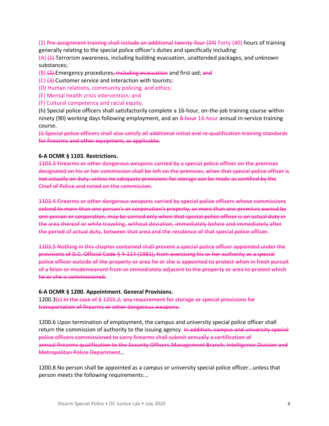(2) Pre-assignment training shall include an additional twenty-four (24) Forty (40) hours of training generally relating to the special police officer's duties and specifically including:

 $(A)$   $(4)$  Terrorism awareness, including building evacuation, unattended packages, and unknown substances;

(B) (2) Emergency procedures, including evacuation and first-aid; and

- (C)  $(3)$  Customer service and interaction with tourists;
- (D) Human relations, community policing, and ethics;
- (E) Mental health crisis intervention; and
- (F) Cultural competency and racial equity.

(h) Special police officers shall satisfactorily complete a 16-hour, on-the-job training course within ninety (90) working days following employment, and an 8-hour 16-hour annual in-service training course.

(i) Special police officers shall also satisfy all additional initial and re-qualification training standards for firearms and other equipment, as applicable.

#### **6-A DCMR § 1103. Restrictions.**

1103.3 Firearms or other dangerous weapons carried by a special police officer on the premises designated on his or her commission shall be left on the premises, when that special police officer is not actually on duty, unless no adequate provisions for storage can be made as certified by the Chief of Police and noted on the commission.

1103.4 Firearms or other dangerous weapons carried by special police officers whose commissions extend to more than one person's or corporation's property, or more than one premises owned by one person or corporation, may be carried only when that special police officer is on actual duty in the area thereof or while traveling, without deviation, immediately before and immediately after the period of actual duty, between that area and the residence of that special police officer.

1103.5 Nothing in this chapter contained shall prevent a special police officer appointed under the provisions of D.C. Official Code § 4-114 (1981), from exercising his or her authority as a special police officer outside of the property or area he or she is appointed to protect when in fresh pursuit of a felon or misdemeanant from or immediately adjacent to the property or area to protect which he or she is commissioned.

#### **6-A DCMR § 1200. Appointment. General Provisions.**

 $1200.3(e)$  In the case of § 1201.2, any requirement for storage or special provisions for transportation of firearms or other dangerous weapons.

1200.6 Upon termination of employment, the campus and university special police officer shall return the commission of authority to the issuing agency. In addition, campus and university special police officers commissioned to carry firearms shall submit annually a certification of annual firearms qualification to the Security Officers Management Branch, Intelligence Division and Metropolitan Police Department…

1200.8 No person shall be appointed as a campus or university special police officer…unless that person meets the following requirements:…